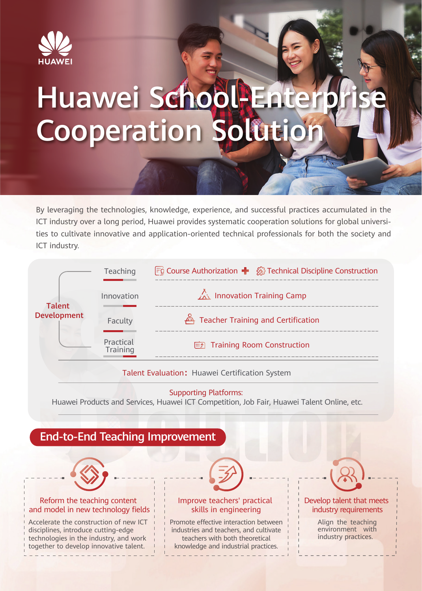

# Huawei School-Enter **Cooperation Solution**

By leveraging the technologies, knowledge, experience, and successful practices accumulated in the ICT industry over a long period, Huawei provides systematic cooperation solutions for global universities to cultivate innovative and application-oriented technical professionals for both the society and ICT industry.



## Talent Evaluation: Huawei Certification System

#### Supporting Platforms:

Huawei Products and Services, Huawei ICT Competition, Job Fair, Huawei Talent Online, etc.